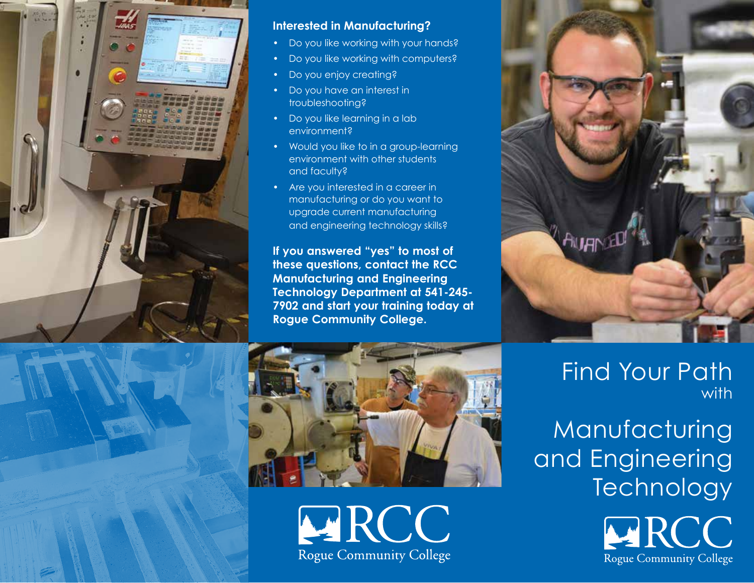

## **Interested in Manufacturing?**

- Do you like working with your hands?
- Do you like working with computers?
- Do you enjoy creating?
- Do you have an interest in troubleshooting?
- Do you like learning in a lab environment?
- Would you like to in a group-learning environment with other students and faculty?
- Are you interested in a career in manufacturing or do you want to upgrade current manufacturing and engineering technology skills?

**If you answered "yes" to most of these questions, contact the RCC Manufacturing and Engineering Technology Department at 541-245- 7902 and start your training today at Rogue Community College.**



# Find Your Path with

Manufacturing and Engineering **Technology** 





**ARCC Rogue Community College**